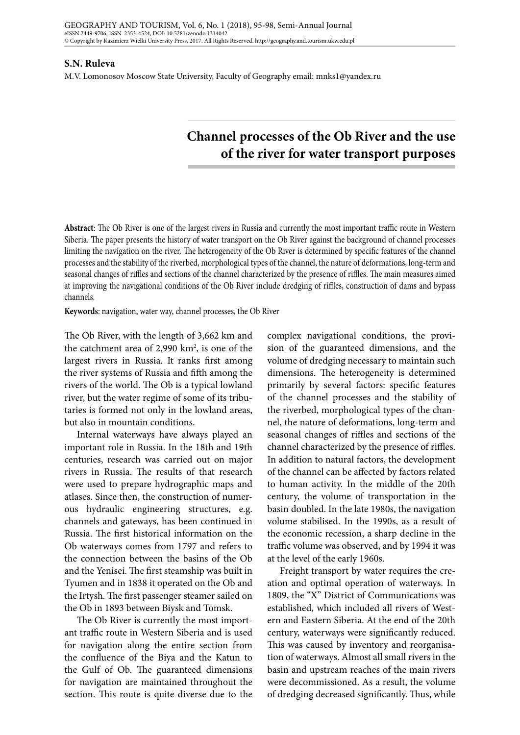## **S.N. Ruleva**

M.V. Lomonosov Moscow State University, Faculty of Geography email: mnks1@yandex.ru

## **Channel processes of the Ob River and the use of the river for water transport purposes**

**Abstract**: The Ob River is one of the largest rivers in Russia and currently the most important traffic route in Western Siberia. The paper presents the history of water transport on the Ob River against the background of channel processes limiting the navigation on the river. The heterogeneity of the Ob River is determined by specific features of the channel processes and the stability of the riverbed, morphological types of the channel, the nature of deformations, long-term and seasonal changes of riffles and sections of the channel characterized by the presence of riffles. The main measures aimed at improving the navigational conditions of the Ob River include dredging of riffles, construction of dams and bypass channels.

**Keywords**: navigation, water way, channel processes, the Ob River

The Ob River, with the length of 3,662 km and the catchment area of 2,990 km<sup>2</sup>, is one of the largest rivers in Russia. It ranks first among the river systems of Russia and fifth among the rivers of the world. The Ob is a typical lowland river, but the water regime of some of its tributaries is formed not only in the lowland areas, but also in mountain conditions.

Internal waterways have always played an important role in Russia. In the 18th and 19th centuries, research was carried out on major rivers in Russia. The results of that research were used to prepare hydrographic maps and atlases. Since then, the construction of numerous hydraulic engineering structures, e.g. channels and gateways, has been continued in Russia. The first historical information on the Ob waterways comes from 1797 and refers to the connection between the basins of the Ob and the Yenisei. The first steamship was built in Tyumen and in 1838 it operated on the Ob and the Irtysh. The first passenger steamer sailed on the Ob in 1893 between Biysk and Tomsk.

The Ob River is currently the most important traffic route in Western Siberia and is used for navigation along the entire section from the confluence of the Biya and the Katun to the Gulf of Ob. The guaranteed dimensions for navigation are maintained throughout the section. This route is quite diverse due to the

complex navigational conditions, the provision of the guaranteed dimensions, and the volume of dredging necessary to maintain such dimensions. The heterogeneity is determined primarily by several factors: specific features of the channel processes and the stability of the riverbed, morphological types of the channel, the nature of deformations, long-term and seasonal changes of riffles and sections of the channel characterized by the presence of riffles. In addition to natural factors, the development of the channel can be affected by factors related to human activity. In the middle of the 20th century, the volume of transportation in the basin doubled. In the late 1980s, the navigation volume stabilised. In the 1990s, as a result of the economic recession, a sharp decline in the traffic volume was observed, and by 1994 it was at the level of the early 1960s.

Freight transport by water requires the creation and optimal operation of waterways. In 1809, the "X" District of Communications was established, which included all rivers of Western and Eastern Siberia. At the end of the 20th century, waterways were significantly reduced. This was caused by inventory and reorganisation of waterways. Almost all small rivers in the basin and upstream reaches of the main rivers were decommissioned. As a result, the volume of dredging decreased significantly. Thus, while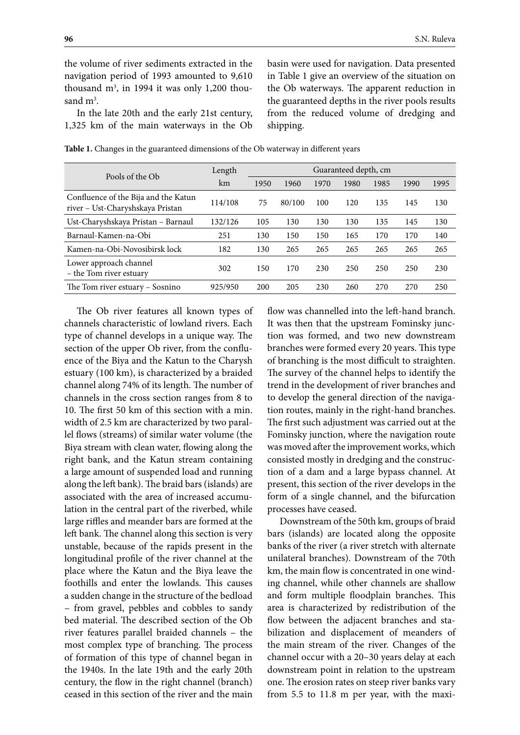the volume of river sediments extracted in the navigation period of 1993 amounted to 9,610 thousand m<sup>3</sup>, in 1994 it was only 1,200 thousand  $m^3$ .

In the late 20th and the early 21st century, 1,325 km of the main waterways in the Ob basin were used for navigation. Data presented in Table 1 give an overview of the situation on the Ob waterways. The apparent reduction in the guaranteed depths in the river pools results from the reduced volume of dredging and shipping.

| Pools of the Ob                                                          | Length  | Guaranteed depth, cm |        |      |      |      |      |      |
|--------------------------------------------------------------------------|---------|----------------------|--------|------|------|------|------|------|
|                                                                          | km      | 1950                 | 1960   | 1970 | 1980 | 1985 | 1990 | 1995 |
| Confluence of the Bija and the Katun<br>river - Ust-Charyshskaya Pristan | 114/108 | 75                   | 80/100 | 100  | 120  | 135  | 145  | 130  |
| Ust-Charyshskaya Pristan - Barnaul                                       | 132/126 | 105                  | 130    | 130  | 130  | 135  | 145  | 130  |
| Barnaul-Kamen-na-Obi                                                     | 251     | 130                  | 150    | 150  | 165  | 170  | 170  | 140  |
| Kamen-na-Obi-Novosibirsk lock                                            | 182     | 130                  | 265    | 265  | 265  | 265  | 265  | 265  |
| Lower approach channel<br>– the Tom river estuary                        | 302     | 150                  | 170    | 230  | 250  | 250  | 250  | 230  |
| The Tom river estuary – Sosnino                                          | 925/950 | 200                  | 205    | 230  | 260  | 270  | 270  | 250  |

**Table 1.** Changes in the guaranteed dimensions of the Ob waterway in different years

The Ob river features all known types of channels characteristic of lowland rivers. Each type of channel develops in a unique way. The section of the upper Ob river, from the confluence of the Biya and the Katun to the Charysh estuary (100 km), is characterized by a braided channel along 74% of its length. The number of channels in the cross section ranges from 8 to 10. The first 50 km of this section with a min. width of 2.5 km are characterized by two parallel flows (streams) of similar water volume (the Biya stream with clean water, flowing along the right bank, and the Katun stream containing a large amount of suspended load and running along the left bank). The braid bars (islands) are associated with the area of increased accumulation in the central part of the riverbed, while large riffles and meander bars are formed at the left bank. The channel along this section is very unstable, because of the rapids present in the longitudinal profile of the river channel at the place where the Katun and the Biya leave the foothills and enter the lowlands. This causes a sudden change in the structure of the bedload – from gravel, pebbles and cobbles to sandy bed material. The described section of the Ob river features parallel braided channels – the most complex type of branching. The process of formation of this type of channel began in the 1940s. In the late 19th and the early 20th century, the flow in the right channel (branch) ceased in this section of the river and the main

flow was channelled into the left-hand branch. It was then that the upstream Fominsky junction was formed, and two new downstream branches were formed every 20 years. This type of branching is the most difficult to straighten. The survey of the channel helps to identify the trend in the development of river branches and to develop the general direction of the navigation routes, mainly in the right-hand branches. The first such adjustment was carried out at the Fominsky junction, where the navigation route was moved after the improvement works, which consisted mostly in dredging and the construction of a dam and a large bypass channel. At present, this section of the river develops in the form of a single channel, and the bifurcation processes have ceased.

Downstream of the 50th km, groups of braid bars (islands) are located along the opposite banks of the river (a river stretch with alternate unilateral branches). Downstream of the 70th km, the main flow is concentrated in one winding channel, while other channels are shallow and form multiple floodplain branches. This area is characterized by redistribution of the flow between the adjacent branches and stabilization and displacement of meanders of the main stream of the river. Changes of the channel occur with a 20–30 years delay at each downstream point in relation to the upstream one. The erosion rates on steep river banks vary from 5.5 to 11.8 m per year, with the maxi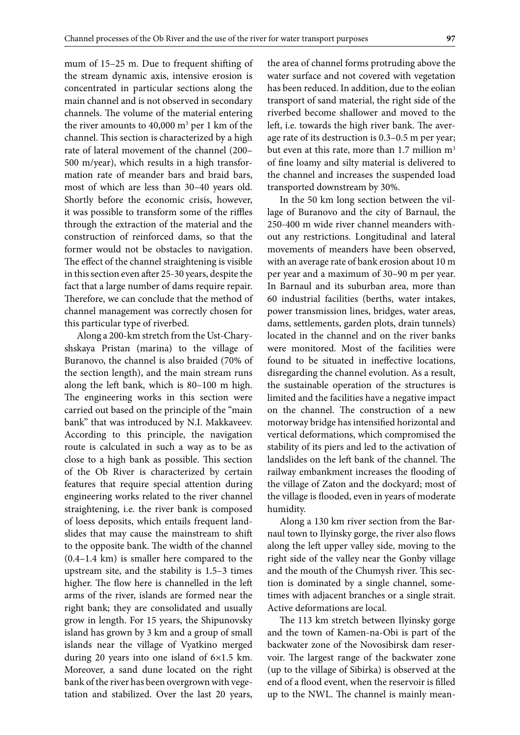mum of 15–25 m. Due to frequent shifting of the stream dynamic axis, intensive erosion is concentrated in particular sections along the main channel and is not observed in secondary channels. The volume of the material entering the river amounts to  $40,000 \text{ m}^3 \text{ per } 1 \text{ km of the}$ channel. This section is characterized by a high rate of lateral movement of the channel (200– 500 m/year), which results in a high transformation rate of meander bars and braid bars, most of which are less than 30–40 years old. Shortly before the economic crisis, however, it was possible to transform some of the riffles through the extraction of the material and the construction of reinforced dams, so that the former would not be obstacles to navigation. The effect of the channel straightening is visible in this section even after 25-30 years, despite the fact that a large number of dams require repair. Therefore, we can conclude that the method of channel management was correctly chosen for this particular type of riverbed.

Along a 200-km stretch from the Ust-Charyshskaya Pristan (marina) to the village of Buranovo, the channel is also braided (70% of the section length), and the main stream runs along the left bank, which is 80–100 m high. The engineering works in this section were carried out based on the principle of the "main bank" that was introduced by N.I. Makkaveev. According to this principle, the navigation route is calculated in such a way as to be as close to a high bank as possible. This section of the Ob River is characterized by certain features that require special attention during engineering works related to the river channel straightening, i.e. the river bank is composed of loess deposits, which entails frequent landslides that may cause the mainstream to shift to the opposite bank. The width of the channel (0.4–1.4 km) is smaller here compared to the upstream site, and the stability is 1.5–3 times higher. The flow here is channelled in the left arms of the river, islands are formed near the right bank; they are consolidated and usually grow in length. For 15 years, the Shipunovsky island has grown by 3 km and a group of small islands near the village of Vyatkino merged during 20 years into one island of 6×1.5 km. Moreover, a sand dune located on the right bank of the river has been overgrown with vegetation and stabilized. Over the last 20 years,

the area of channel forms protruding above the water surface and not covered with vegetation has been reduced. In addition, due to the eolian transport of sand material, the right side of the riverbed become shallower and moved to the left, i.e. towards the high river bank. The average rate of its destruction is 0.3–0.5 m per year; but even at this rate, more than 1.7 million m<sup>3</sup> of fine loamy and silty material is delivered to the channel and increases the suspended load transported downstream by 30%.

In the 50 km long section between the village of Buranovo and the city of Barnaul, the 250-400 m wide river channel meanders without any restrictions. Longitudinal and lateral movements of meanders have been observed, with an average rate of bank erosion about 10 m per year and a maximum of 30–90 m per year. In Barnaul and its suburban area, more than 60 industrial facilities (berths, water intakes, power transmission lines, bridges, water areas, dams, settlements, garden plots, drain tunnels) located in the channel and on the river banks were monitored. Most of the facilities were found to be situated in ineffective locations, disregarding the channel evolution. As a result, the sustainable operation of the structures is limited and the facilities have a negative impact on the channel. The construction of a new motorway bridge has intensified horizontal and vertical deformations, which compromised the stability of its piers and led to the activation of landslides on the left bank of the channel. The railway embankment increases the flooding of the village of Zaton and the dockyard; most of the village is flooded, even in years of moderate humidity.

Along a 130 km river section from the Barnaul town to Ilyinsky gorge, the river also flows along the left upper valley side, moving to the right side of the valley near the Gonby village and the mouth of the Chumysh river. This section is dominated by a single channel, sometimes with adjacent branches or a single strait. Active deformations are local.

The 113 km stretch between Ilyinsky gorge and the town of Kamen-na-Obi is part of the backwater zone of the Novosibirsk dam reservoir. The largest range of the backwater zone (up to the village of Sibirka) is observed at the end of a flood event, when the reservoir is filled up to the NWL. The channel is mainly mean